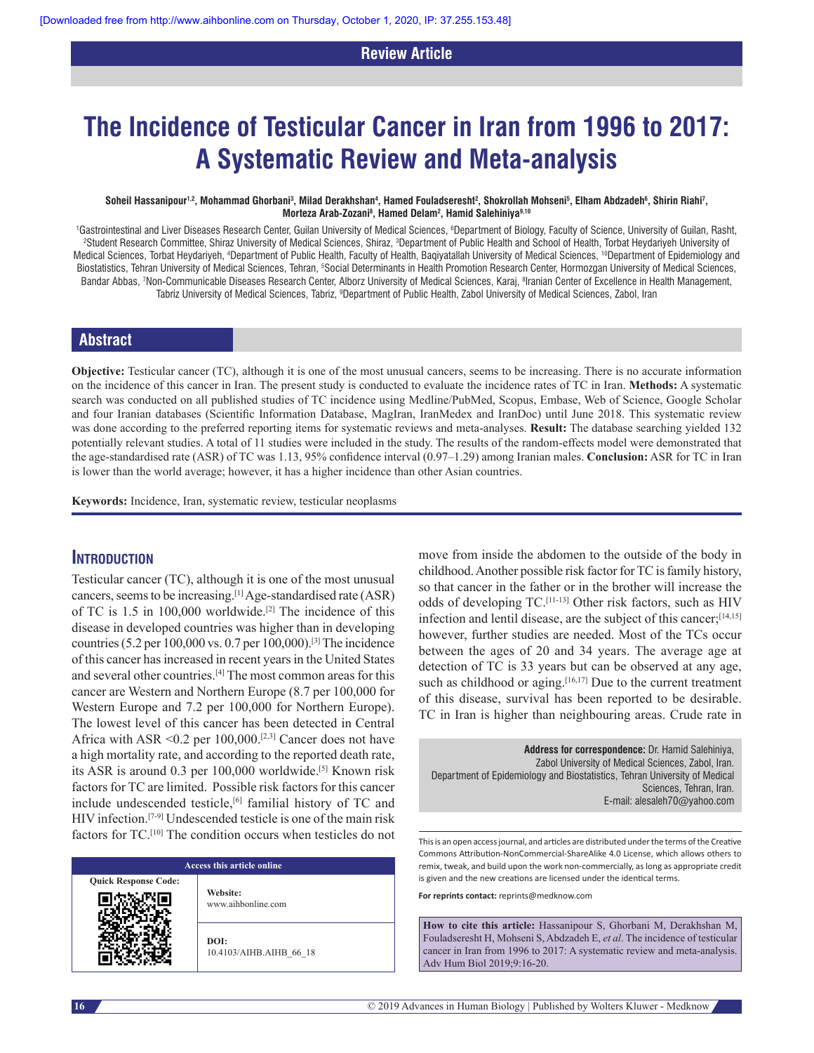# **Review Article**

# **The Incidence of Testicular Cancer in Iran from 1996 to 2017: A Systematic Review and Meta‑analysis**

#### $S$ oheil Hassanipour<sup>1,2</sup>, Mohammad Ghorbani<sup>3</sup>, Milad Derakhshan<sup>4</sup>, Hamed Fouladseresht<sup>2</sup>, Shokrollah Mohseni<sup>5</sup>, Elham Abdzadeh©, Shirin Riahi<sup>7</sup>, **Morteza Arab‑Zozani8 , Hamed Delam2 , Hamid Salehiniya9,10**

<sup>1</sup>Gastrointestinal and Liver Diseases Research Center, Guilan University of Medical Sciences, <sup>6</sup>Department of Biology, Faculty of Science, University of Guilan, Rasht,<br>29 Student Besearch Committee, Shiraz University of Student Research Committee, Shiraz University of Medical Sciences, Shiraz, <sup>3</sup>Department of Public Health and School of Health, Torbat Heydariyeh University of Medical Sciences, Torbat Heydariyeh, <sup>4</sup>Department of Public Health, Faculty of Health, Baqiyatallah University of Medical Sciences, <sup>10</sup>Department of Epidemiology and Biostatistics, Tehran University of Medical Sciences, Tehran, <sup>s</sup>Social Determinants in Health Promotion Research Center, Hormozgan University of Medical Sciences, Bandar Abbas, 7 Non‑Communicable Diseases Research Center, Alborz University of Medical Sciences, Karaj, 8 Iranian Center of Excellence in Health Management, Tabriz University of Medical Sciences, Tabriz, <sup>9</sup>Department of Public Health, Zabol University of Medical Sciences, Zabol, Iran

# **Abstract**

**Objective:** Testicular cancer (TC), although it is one of the most unusual cancers, seems to be increasing. There is no accurate information on the incidence of this cancer in Iran. The present study is conducted to evaluate the incidence rates of TC in Iran. **Methods:** A systematic search was conducted on all published studies of TC incidence using Medline/PubMed, Scopus, Embase, Web of Science, Google Scholar and four Iranian databases (Scientific Information Database, MagIran, IranMedex and IranDoc) until June 2018. This systematic review was done according to the preferred reporting items for systematic reviews and meta-analyses. **Result:** The database searching yielded 132 potentially relevant studies. A total of 11 studies were included in the study. The results of the random-effects model were demonstrated that the age‑standardised rate (ASR) of TC was 1.13, 95% confidence interval (0.97–1.29) among Iranian males. **Conclusion:** ASR for TC in Iran is lower than the world average; however, it has a higher incidence than other Asian countries.

**Keywords:** Incidence, Iran, systematic review, testicular neoplasms

# **Introduction**

Testicular cancer (TC), although it is one of the most unusual cancers, seems to be increasing.[1] Age-standardised rate (ASR) of TC is 1.5 in 100,000 worldwide.[2] The incidence of this disease in developed countries was higher than in developing countries (5.2 per 100,000 vs. 0.7 per 100,000).[3] The incidence of this cancer has increased in recent years in the United States and several other countries.[4] The most common areas for this cancer are Western and Northern Europe (8.7 per 100,000 for Western Europe and 7.2 per 100,000 for Northern Europe). The lowest level of this cancer has been detected in Central Africa with ASR <0.2 per 100,000.<sup>[2,3]</sup> Cancer does not have a high mortality rate, and according to the reported death rate, its ASR is around 0.3 per 100,000 worldwide.<sup>[5]</sup> Known risk factors for TC are limited. Possible risk factors for this cancer include undescended testicle,[6] familial history of TC and HIV infection.<sup>[7-9]</sup> Undescended testicle is one of the main risk factors for TC.[10] The condition occurs when testicles do not

|                             | Access this article online     |
|-----------------------------|--------------------------------|
| <b>Ouick Response Code:</b> | Website:<br>www.aihbonline.com |

**DOI:** 10.4103/AIHB.AIHB\_66\_18 move from inside the abdomen to the outside of the body in childhood. Another possible risk factor for TC is family history, so that cancer in the father or in the brother will increase the odds of developing TC.[11-13] Other risk factors, such as HIV infection and lentil disease, are the subject of this cancer;[14,15] however, further studies are needed. Most of the TCs occur between the ages of 20 and 34 years. The average age at detection of TC is 33 years but can be observed at any age, such as childhood or aging.<sup>[16,17]</sup> Due to the current treatment of this disease, survival has been reported to be desirable. TC in Iran is higher than neighbouring areas. Crude rate in

**Address for correspondence:** Dr. Hamid Salehiniya, Zabol University of Medical Sciences, Zabol, Iran. Department of Epidemiology and Biostatistics, Tehran University of Medical Sciences, Tehran, Iran. E‑mail: alesaleh70@yahoo.com

This is an open access journal, and articles are distributed under the terms of the Creative Commons Attribution‑NonCommercial‑ShareAlike 4.0 License, which allows others to remix, tweak, and build upon the work non‑commercially, as long as appropriate credit is given and the new creations are licensed under the identical terms.

**For reprints contact:** reprints@medknow.com

**How to cite this article:** Hassanipour S, Ghorbani M, Derakhshan M, Fouladseresht H, Mohseni S, Abdzadeh E, *et al*. The incidence of testicular cancer in Iran from 1996 to 2017: A systematic review and meta-analysis. Adv Hum Biol 2019;9:16-20.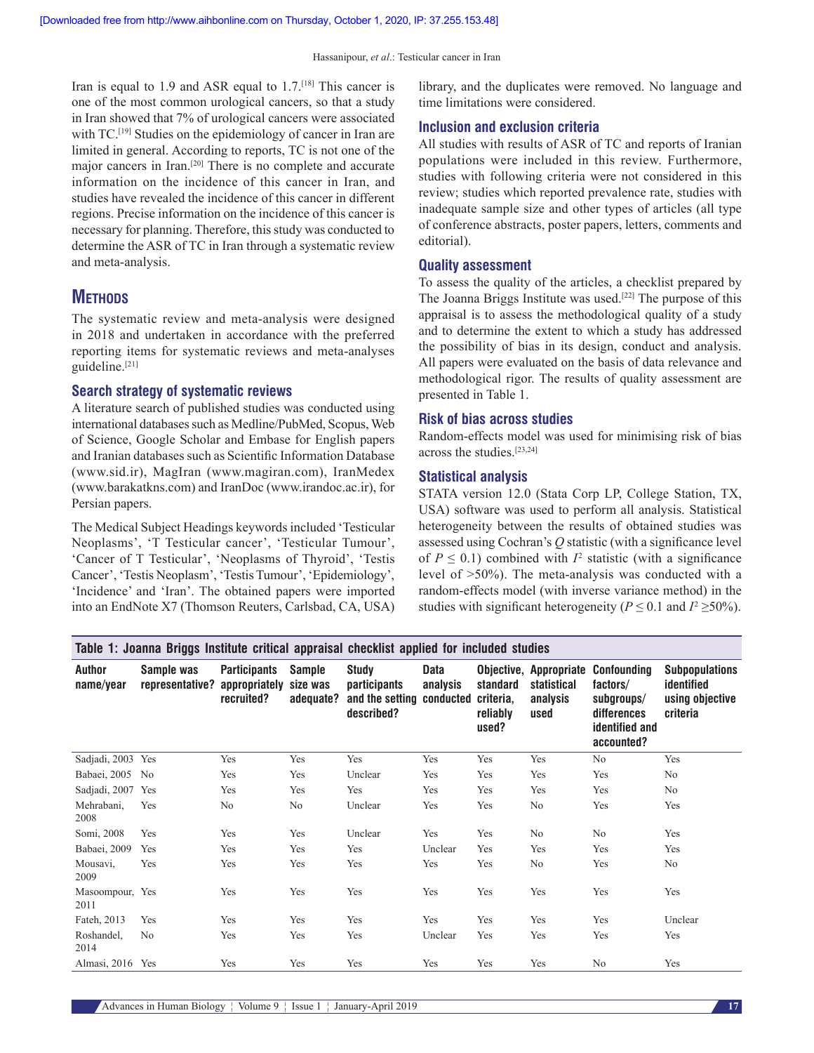Iran is equal to 1.9 and ASR equal to  $1.7$ .<sup>[18]</sup> This cancer is one of the most common urological cancers, so that a study in Iran showed that 7% of urological cancers were associated with TC.<sup>[19]</sup> Studies on the epidemiology of cancer in Iran are limited in general. According to reports, TC is not one of the major cancers in Iran.[20] There is no complete and accurate information on the incidence of this cancer in Iran, and studies have revealed the incidence of this cancer in different regions. Precise information on the incidence of this cancer is necessary for planning. Therefore, this study was conducted to determine the ASR of TC in Iran through a systematic review and meta-analysis.

# **METHODS**

The systematic review and meta-analysis were designed in 2018 and undertaken in accordance with the preferred reporting items for systematic reviews and meta-analyses guideline.<sup>[21]</sup>

## **Search strategy of systematic reviews**

A literature search of published studies was conducted using international databases such as Medline/PubMed, Scopus, Web of Science, Google Scholar and Embase for English papers and Iranian databases such as Scientific Information Database (www.sid.ir), MagIran (www.magiran.com), IranMedex (www.barakatkns.com) and IranDoc (www.irandoc.ac.ir), for Persian papers.

The Medical Subject Headings keywords included 'Testicular Neoplasms', 'T Testicular cancer', 'Testicular Tumour', 'Cancer of T Testicular', 'Neoplasms of Thyroid', 'Testis Cancer', 'Testis Neoplasm', 'Testis Tumour', 'Epidemiology', 'Incidence' and 'Iran'. The obtained papers were imported into an EndNote X7 (Thomson Reuters, Carlsbad, CA, USA)

library, and the duplicates were removed. No language and time limitations were considered.

# **Inclusion and exclusion criteria**

All studies with results of ASR of TC and reports of Iranian populations were included in this review. Furthermore, studies with following criteria were not considered in this review; studies which reported prevalence rate, studies with inadequate sample size and other types of articles (all type of conference abstracts, poster papers, letters, comments and editorial).

## **Quality assessment**

To assess the quality of the articles, a checklist prepared by The Joanna Briggs Institute was used.[22] The purpose of this appraisal is to assess the methodological quality of a study and to determine the extent to which a study has addressed the possibility of bias in its design, conduct and analysis. All papers were evaluated on the basis of data relevance and methodological rigor. The results of quality assessment are presented in Table 1.

## **Risk of bias across studies**

Random-effects model was used for minimising risk of bias across the studies.[23,24]

## **Statistical analysis**

STATA version 12.0 (Stata Corp LP, College Station, TX, USA) software was used to perform all analysis. Statistical heterogeneity between the results of obtained studies was assessed using Cochran's *Q* statistic (with a significance level of  $P \leq 0.1$ ) combined with  $I^2$  statistic (with a significance level of >50%). The meta‑analysis was conducted with a random-effects model (with inverse variance method) in the studies with significant heterogeneity ( $P \le 0.1$  and  $I^2 \ge 50\%$ ).

|                            | Table 1: Joanna Briggs Institute critical appraisal checklist applied for included studies |                                                    |                                        |                                                                                |                         |                                            |                                 |                                                                                                                    |                                                                    |
|----------------------------|--------------------------------------------------------------------------------------------|----------------------------------------------------|----------------------------------------|--------------------------------------------------------------------------------|-------------------------|--------------------------------------------|---------------------------------|--------------------------------------------------------------------------------------------------------------------|--------------------------------------------------------------------|
| <b>Author</b><br>name/year | Sample was<br>representative?                                                              | <b>Participants</b><br>appropriately<br>recruited? | <b>Sample</b><br>size was<br>adequate? | <b>Study</b><br><i>participants</i><br>and the setting conducted<br>described? | <b>Data</b><br>analysis | standard<br>criteria,<br>reliably<br>used? | statistical<br>analysis<br>used | <b>Objective, Appropriate Confounding</b><br>factors/<br>subgroups/<br>differences<br>identified and<br>accounted? | <b>Subpopulations</b><br>identified<br>using objective<br>criteria |
| Sadjadi, 2003 Yes          |                                                                                            | Yes                                                | Yes                                    | Yes                                                                            | Yes                     | Yes                                        | Yes                             | N <sub>0</sub>                                                                                                     | Yes                                                                |
| Babaei, 2005               | N <sub>0</sub>                                                                             | Yes                                                | Yes                                    | Unclear                                                                        | Yes                     | Yes                                        | Yes                             | Yes                                                                                                                | No                                                                 |
| Sadjadi, 2007 Yes          |                                                                                            | Yes                                                | Yes                                    | Yes                                                                            | Yes                     | Yes                                        | Yes                             | Yes                                                                                                                | No                                                                 |
| Mehrabani,<br>2008         | Yes                                                                                        | No.                                                | N <sub>o</sub>                         | Unclear                                                                        | Yes                     | Yes                                        | N <sub>o</sub>                  | Yes                                                                                                                | Yes                                                                |
| Somi, 2008                 | Yes                                                                                        | Yes                                                | Yes                                    | Unclear                                                                        | Yes                     | Yes                                        | N <sub>o</sub>                  | N <sub>0</sub>                                                                                                     | Yes                                                                |
| Babaei, 2009               | Yes                                                                                        | Yes                                                | Yes                                    | Yes                                                                            | Unclear                 | Yes                                        | Yes                             | Yes                                                                                                                | Yes                                                                |
| Mousavi,<br>2009           | Yes                                                                                        | Yes                                                | Yes                                    | Yes                                                                            | Yes                     | Yes                                        | No                              | Yes                                                                                                                | No                                                                 |
| Masoompour, Yes<br>2011    |                                                                                            | Yes                                                | Yes                                    | Yes                                                                            | Yes                     | Yes                                        | Yes                             | Yes                                                                                                                | Yes                                                                |
| Fateh, 2013                | Yes                                                                                        | Yes                                                | Yes                                    | Yes                                                                            | Yes                     | Yes                                        | Yes                             | Yes                                                                                                                | Unclear                                                            |
| Roshandel,<br>2014         | N <sub>0</sub>                                                                             | Yes                                                | Yes                                    | Yes                                                                            | Unclear                 | Yes                                        | Yes                             | Yes                                                                                                                | Yes                                                                |
| Almasi, 2016 Yes           |                                                                                            | Yes                                                | Yes                                    | Yes                                                                            | Yes                     | Yes                                        | Yes                             | No                                                                                                                 | Yes                                                                |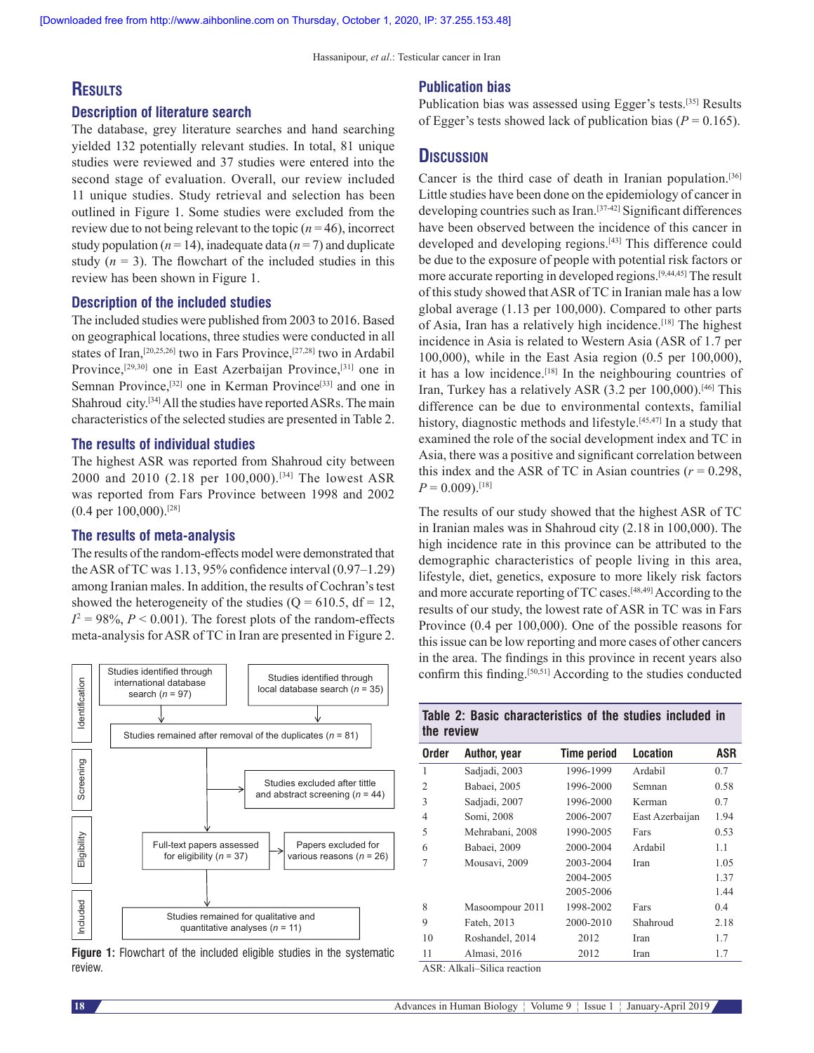# **Results**

#### **Description of literature search**

The database, grey literature searches and hand searching yielded 132 potentially relevant studies. In total, 81 unique studies were reviewed and 37 studies were entered into the second stage of evaluation. Overall, our review included 11 unique studies. Study retrieval and selection has been outlined in Figure 1. Some studies were excluded from the review due to not being relevant to the topic  $(n=46)$ , incorrect study population ( $n = 14$ ), inadequate data ( $n = 7$ ) and duplicate study  $(n = 3)$ . The flowchart of the included studies in this review has been shown in Figure 1.

## **Description of the included studies**

The included studies were published from 2003 to 2016. Based on geographical locations, three studies were conducted in all states of Iran,[20,25,26] two in Fars Province,[27,28] two in Ardabil Province,[29,30] one in East Azerbaijan Province,[31] one in Semnan Province,<sup>[32]</sup> one in Kerman Province<sup>[33]</sup> and one in Shahroud city.<sup>[34]</sup> All the studies have reported ASRs. The main characteristics of the selected studies are presented in Table 2.

## **The results of individual studies**

The highest ASR was reported from Shahroud city between 2000 and 2010 (2.18 per 100,000).[34] The lowest ASR was reported from Fars Province between 1998 and 2002 (0.4 per 100,000).[28]

# **The results of meta‑analysis**

The results of the random-effects model were demonstrated that the ASR of TC was 1.13, 95% confidence interval (0.97–1.29) among Iranian males. In addition, the results of Cochran's test showed the heterogeneity of the studies ( $Q = 610.5$ , df = 12,  $I^2 = 98\%, P < 0.001$ . The forest plots of the random-effects meta-analysis for ASR of TC in Iran are presented in Figure 2.



**Figure 1:** Flowchart of the included eligible studies in the systematic review.

## **Publication bias**

Publication bias was assessed using Egger's tests.[35] Results of Egger's tests showed lack of publication bias ( $P = 0.165$ ).

# **Discussion**

Cancer is the third case of death in Iranian population.[36] Little studies have been done on the epidemiology of cancer in developing countries such as Iran.<sup>[37-42]</sup> Significant differences have been observed between the incidence of this cancer in developed and developing regions.[43] This difference could be due to the exposure of people with potential risk factors or more accurate reporting in developed regions.[9,44,45] The result of this study showed that ASR of TC in Iranian male has a low global average (1.13 per 100,000). Compared to other parts of Asia, Iran has a relatively high incidence.<sup>[18]</sup> The highest incidence in Asia is related to Western Asia (ASR of 1.7 per 100,000), while in the East Asia region (0.5 per 100,000), it has a low incidence.[18] In the neighbouring countries of Iran, Turkey has a relatively ASR (3.2 per 100,000).<sup>[46]</sup> This difference can be due to environmental contexts, familial history, diagnostic methods and lifestyle.<sup>[45,47]</sup> In a study that examined the role of the social development index and TC in Asia, there was a positive and significant correlation between this index and the ASR of TC in Asian countries  $(r = 0.298$ ,  $P = 0.009$ .<sup>[18]</sup>

The results of our study showed that the highest ASR of TC in Iranian males was in Shahroud city (2.18 in 100,000). The high incidence rate in this province can be attributed to the demographic characteristics of people living in this area, lifestyle, diet, genetics, exposure to more likely risk factors and more accurate reporting of TC cases.[48,49] According to the results of our study, the lowest rate of ASR in TC was in Fars Province (0.4 per 100,000). One of the possible reasons for this issue can be low reporting and more cases of other cancers in the area. The findings in this province in recent years also confirm this finding.[50,51] According to the studies conducted

|            |  | Table 2: Basic characteristics of the studies included in |  |  |  |
|------------|--|-----------------------------------------------------------|--|--|--|
| the review |  |                                                           |  |  |  |

| <b>Order</b>   | Author, year    | <b>Time period</b> | Location        | ASR  |
|----------------|-----------------|--------------------|-----------------|------|
| 1              | Sadjadi, 2003   | 1996-1999          | Ardabil         | 0.7  |
| $\overline{2}$ | Babaei, 2005    | 1996-2000          | Semnan          | 0.58 |
| 3              | Sadjadi, 2007   | 1996-2000          | Kerman          | 0.7  |
| 4              | Somi, 2008      | 2006-2007          | East Azerbaijan | 1.94 |
| 5              | Mehrabani, 2008 | 1990-2005          | Fars            | 0.53 |
| 6              | Babaei, 2009    | 2000-2004          | Ardabil         | 1.1  |
|                | Mousavi, 2009   | 2003-2004          | Iran            | 1.05 |
|                |                 | 2004-2005          |                 | 1.37 |
|                |                 | 2005-2006          |                 | 1.44 |
| 8              | Masoompour 2011 | 1998-2002          | Fars            | 0.4  |
| 9              | Fateh, 2013     | 2000-2010          | Shahroud        | 2.18 |
| 10             | Roshandel, 2014 | 2012               | Iran            | 1.7  |
| 11             | Almasi, 2016    | 2012               | Iran            | 1.7  |

ASR: Alkali–Silica reaction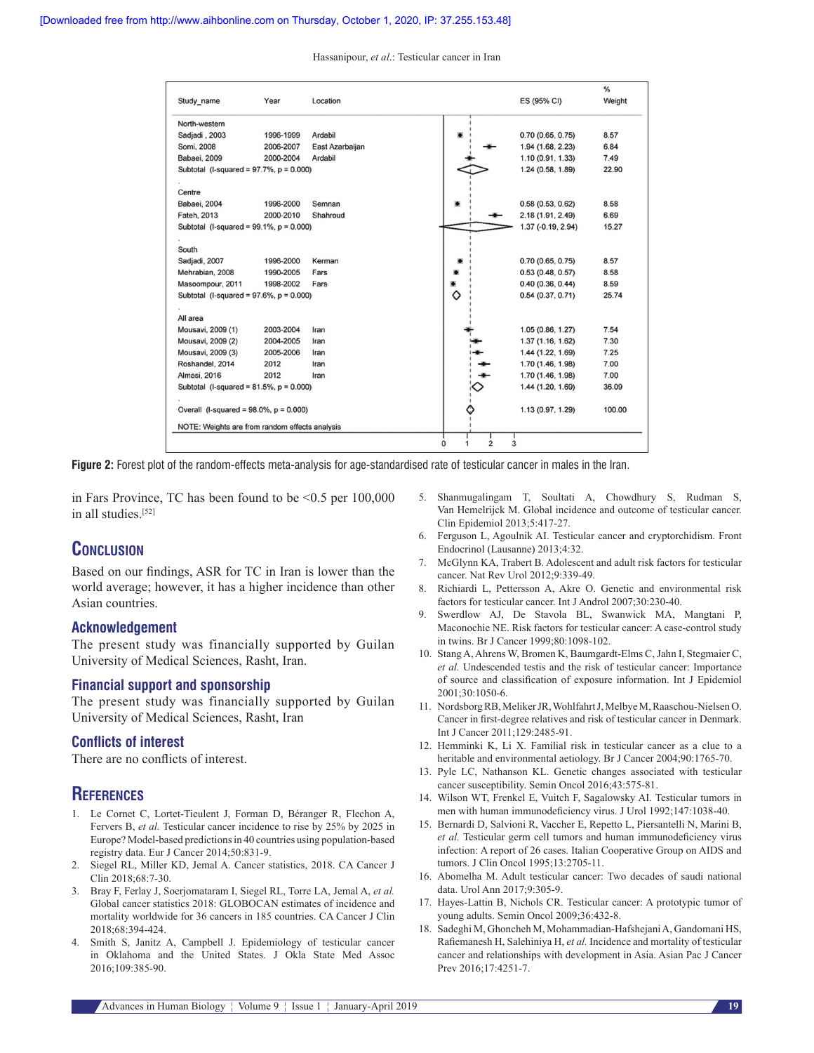Hassanipour, *et al*.: Testicular cancer in Iran

| Study_name                                     | Year      | Location        |                          | ES (95% CI)         | %<br>Weight |
|------------------------------------------------|-----------|-----------------|--------------------------|---------------------|-------------|
| North-western                                  |           |                 |                          |                     |             |
| Sadiadi . 2003                                 | 1996-1999 | Ardabil         |                          | 0.70(0.65, 0.75)    | 8.57        |
| Somi, 2008                                     | 2006-2007 | East Azarbaijan |                          | 1.94 (1.68, 2.23)   | 6.84        |
| Babaei, 2009                                   | 2000-2004 | Ardabil         |                          | 1.10(0.91, 1.33)    | 7.49        |
| Subtotal (I-squared = $97.7\%$ , $p = 0.000$ ) |           |                 |                          | 1.24 (0.58, 1.89)   | 22.90       |
|                                                |           |                 |                          |                     |             |
| Centre                                         |           |                 |                          |                     |             |
| Babaei, 2004                                   | 1996-2000 | Semnan          |                          | 0.58(0.53, 0.62)    | 8.58        |
| Fateh, 2013                                    | 2000-2010 | Shahroud        |                          | 2.18 (1.91, 2.49)   | 6.69        |
| Subtotal (I-squared = $99.1\%$ , $p = 0.000$ ) |           |                 |                          | $1.37(-0.19, 2.94)$ | 15.27       |
|                                                |           |                 |                          |                     |             |
| South                                          |           |                 |                          |                     |             |
| Sadjadi, 2007                                  | 1996-2000 | Kerman          |                          | 0.70(0.65, 0.75)    | 8.57        |
| Mehrabian, 2008                                | 1990-2005 | Fars            |                          | 0.53(0.48, 0.57)    | 8.58        |
| Masoompour, 2011                               | 1998-2002 | Fars            |                          | 0.40(0.36, 0.44)    | 8.59        |
| Subtotal (I-squared = $97.6\%$ , $p = 0.000$ ) |           |                 | ♦                        | 0.54(0.37, 0.71)    | 25.74       |
|                                                |           |                 |                          |                     |             |
| All area                                       |           |                 |                          |                     |             |
| Mousavi, 2009 (1)                              | 2003-2004 | Iran            |                          | 1.05(0.86, 1.27)    | 7.54        |
| Mousavi, 2009 (2)                              | 2004-2005 | Iran            |                          | 1.37(1.16, 1.62)    | 7.30        |
| Mousavi, 2009 (3)                              | 2005-2006 | Iran            |                          | 1.44 (1.22, 1.69)   | 7.25        |
| Roshandel, 2014                                | 2012      | Iran            |                          | 1.70 (1.46, 1.98)   | 7.00        |
| Almasi, 2016                                   | 2012      | Iran            |                          | 1.70 (1.46, 1.98)   | 7.00        |
| Subtotal (I-squared = $81.5\%$ , $p = 0.000$ ) |           |                 |                          | 1.44 (1.20, 1.69)   | 36.09       |
|                                                |           |                 |                          |                     |             |
| Overall (I-squared = $98.0\%$ , $p = 0.000$ )  |           |                 |                          | 1.13 (0.97, 1.29)   | 100.00      |
|                                                |           |                 |                          |                     |             |
| NOTE: Weights are from random effects analysis |           |                 | $\overline{2}$<br>0<br>1 | 3                   |             |

**Figure 2:** Forest plot of the random-effects meta-analysis for age-standardised rate of testicular cancer in males in the Iran.

in Fars Province, TC has been found to be <0.5 per 100,000 in all studies.[52]

# **Conclusion**

Based on our findings, ASR for TC in Iran is lower than the world average; however, it has a higher incidence than other Asian countries.

## **Acknowledgement**

The present study was financially supported by Guilan University of Medical Sciences, Rasht, Iran.

## **Financial support and sponsorship**

The present study was financially supported by Guilan University of Medical Sciences, Rasht, Iran

## **Conflicts of interest**

There are no conflicts of interest.

# **References**

- 1. Le Cornet C, Lortet-Tieulent J, Forman D, Béranger R, Flechon A, Fervers B, *et al.* Testicular cancer incidence to rise by 25% by 2025 in Europe? Model-based predictions in 40 countries using population-based registry data. Eur J Cancer 2014;50:831‑9.
- 2. Siegel RL, Miller KD, Jemal A. Cancer statistics, 2018. CA Cancer J Clin 2018;68:7‑30.
- 3. Bray F, Ferlay J, Soerjomataram I, Siegel RL, Torre LA, Jemal A, *et al.* Global cancer statistics 2018: GLOBOCAN estimates of incidence and mortality worldwide for 36 cancers in 185 countries. CA Cancer J Clin 2018;68:394‑424.
- 4. Smith S, Janitz A, Campbell J. Epidemiology of testicular cancer in Oklahoma and the United States. J Okla State Med Assoc 2016;109:385‑90.
- 5. Shanmugalingam T, Soultati A, Chowdhury S, Rudman S, Van Hemelrijck M. Global incidence and outcome of testicular cancer. Clin Epidemiol 2013;5:417‑27.
- 6. Ferguson L, Agoulnik AI. Testicular cancer and cryptorchidism. Front Endocrinol (Lausanne) 2013;4:32.
- 7. McGlynn KA, Trabert B. Adolescent and adult risk factors for testicular cancer. Nat Rev Urol 2012;9:339-49.
- 8. Richiardi L, Pettersson A, Akre O. Genetic and environmental risk factors for testicular cancer. Int J Androl 2007;30:230-40.
- 9. Swerdlow AJ, De Stavola BL, Swanwick MA, Mangtani P, Maconochie NE. Risk factors for testicular cancer: A case-control study in twins. Br J Cancer 1999;80:1098-102.
- 10. StangA, Ahrens W, Bromen K, Baumgardt‑Elms C, Jahn I, Stegmaier C, *et al.* Undescended testis and the risk of testicular cancer: Importance of source and classification of exposure information. Int J Epidemiol 2001;30:1050‑6.
- 11. NordsborgRB, MelikerJR, WohlfahrtJ, MelbyeM, Raaschou-NielsenO. Cancer in first‑degree relatives and risk of testicular cancer in Denmark. Int J Cancer 2011;129:2485‑91.
- 12. Hemminki K, Li X. Familial risk in testicular cancer as a clue to a heritable and environmental aetiology. Br J Cancer 2004;90:1765-70.
- 13. Pyle LC, Nathanson KL. Genetic changes associated with testicular cancer susceptibility. Semin Oncol 2016;43:575‑81.
- 14. Wilson WT, Frenkel E, Vuitch F, Sagalowsky AI. Testicular tumors in men with human immunodeficiency virus. J Urol 1992;147:1038-40.
- 15. Bernardi D, Salvioni R, Vaccher E, Repetto L, Piersantelli N, Marini B, *et al.* Testicular germ cell tumors and human immunodeficiency virus infection: A report of 26 cases. Italian Cooperative Group on AIDS and tumors. J Clin Oncol 1995;13:2705‑11.
- 16. Abomelha M. Adult testicular cancer: Two decades of saudi national data. Urol Ann 2017;9:305‑9.
- 17. Hayes‑Lattin B, Nichols CR. Testicular cancer: A prototypic tumor of young adults. Semin Oncol 2009;36:432‑8.
- 18. Sadeghi M, Ghoncheh M, Mohammadian-Hafshejani A, Gandomani HS, Rafiemanesh H, Salehiniya H, *et al.* Incidence and mortality of testicular cancer and relationships with development in Asia. Asian Pac J Cancer Prev 2016;17:4251‑7.